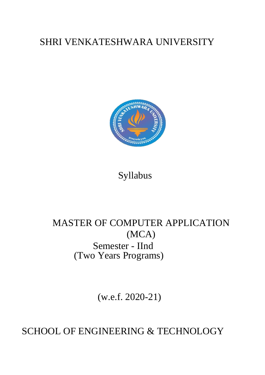# SHRI VENKATESHWARA UNIVERSITY



## Syllabus

# MASTER OF COMPUTER APPLICATION (MCA) Semester - IInd (Two Years Programs)

(w.e.f. 2020-21)

SCHOOL OF ENGINEERING & TECHNOLOGY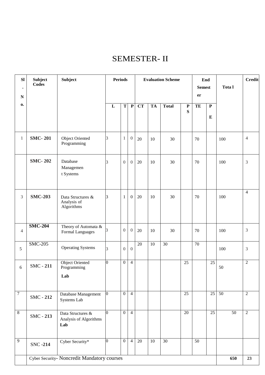### SEMESTER- II

| SI<br>$\bullet$<br>${\bf N}$ | <b>Subject</b><br>Codes | <b>Subject</b>                                     |                | <b>Periods</b>   |                  |                 | <b>Evaluation Scheme</b> |                 |                  | End<br><b>Semest</b><br>er |                        |                 |                | Tota l | Credit |
|------------------------------|-------------------------|----------------------------------------------------|----------------|------------------|------------------|-----------------|--------------------------|-----------------|------------------|----------------------------|------------------------|-----------------|----------------|--------|--------|
| 0.                           |                         |                                                    | L              | T                | $\mathbf P$      | CT              | <b>TA</b>                | <b>Total</b>    | $\mathbf P$<br>S | TE                         | ${\bf P}$<br>${\bf E}$ |                 |                |        |        |
| $\mathbf{1}$                 | <b>SMC-201</b>          | Object Oriented<br>Programming                     | 3              | $\mathbf{1}$     | $\boldsymbol{0}$ | 20              | 10                       | 30              |                  | 70                         |                        | 100             | $\overline{4}$ |        |        |
|                              | <b>SMC-202</b>          | Database<br>Managemen<br>t Systems                 | 3              | $\boldsymbol{0}$ | $\boldsymbol{0}$ | 20              | 10                       | 30              |                  | 70                         |                        | 100             | $\overline{3}$ |        |        |
| 3                            | <b>SMC-203</b>          | Data Structures &<br>Analysis of<br>Algorithms     | 3              | $\mathbf{1}$     | $\boldsymbol{0}$ | 20              | 10                       | 30              |                  | 70                         |                        | 100             | $\overline{4}$ |        |        |
| $\overline{4}$               | <b>SMC-204</b>          | Theory of Automata $\&$<br><b>Formal Languages</b> |                | $\boldsymbol{0}$ | $\boldsymbol{0}$ | 20              | 10                       | 30              |                  | 70                         |                        | 100             | 3              |        |        |
| 5                            | $SMC-205$               | <b>Operating Systems</b>                           | 3              | $\overline{0}$   | $\boldsymbol{0}$ | 20              | 10                       | 30              |                  | 70                         |                        | 100             | 3              |        |        |
| 6                            | <b>SMC - 211</b>        | <b>Object Oriented</b><br>Programming<br>Lab       | $\overline{0}$ | $\overline{0}$   | $\overline{4}$   |                 |                          |                 | $\overline{25}$  |                            | $\overline{25}$        | 50              | $\overline{2}$ |        |        |
| $\overline{7}$               | <b>SMC - 212</b>        | Database Management<br>Systems Lab                 | $\overline{0}$ | $\mathbf{0}$     | $\overline{4}$   |                 |                          |                 | $\overline{25}$  |                            | 25                     | 50              | 2              |        |        |
| $\overline{8}$               | <b>SMC - 213</b>        | Data Structures &<br>Analysis of Algorithms<br>Lab | $\overline{0}$ | $\overline{0}$   | $\overline{4}$   |                 |                          |                 | 20               |                            | 25                     | $\overline{50}$ | $\overline{2}$ |        |        |
| $\overline{9}$               | <b>SNC-214</b>          | Cyber Security*                                    | $\Omega$       | $\overline{0}$   | $\overline{4}$   | $\overline{20}$ | 10                       | $\overline{30}$ |                  | 50                         |                        |                 |                |        |        |
|                              |                         | Cyber Security- Noncredit Mandatory courses        |                |                  |                  |                 |                          |                 |                  |                            |                        | 650             | 23             |        |        |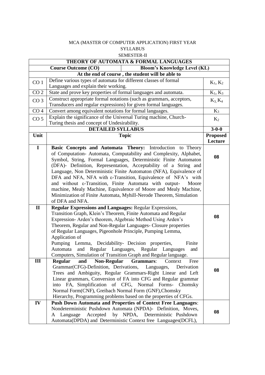#### MCA (MASTER OF COMPUTER APPLICATION) FIRST YEAR SYLLABUS SEMESTER-II

|                 | THEORY OF AUTOMATA & FORMAL LANGUAGES                                        |                 |
|-----------------|------------------------------------------------------------------------------|-----------------|
|                 | <b>Bloom's Knowledge Level (KL)</b><br><b>Course Outcome (CO)</b>            |                 |
|                 | At the end of course, the student will be able to                            |                 |
| CO <sub>1</sub> | Define various types of automata for different classes of formal             | $K_1, K_2$      |
|                 | Languages and explain their working.                                         |                 |
| CO <sub>2</sub> | State and prove key properties of formal languages and automata.             | $K_1, K_3$      |
| CO <sub>3</sub> | Construct appropriate formal notations (such as grammars, acceptors,         | $K_3, K_4$      |
|                 | Transducers and regular expressions) for given formal languages.             |                 |
| CO <sub>4</sub> | Convert among equivalent notations for formal languages.                     | $K_3$           |
| CO <sub>5</sub> | Explain the significance of the Universal Turing machine, Church-            | $K_2$           |
|                 | Turing thesis and concept of Undesirability.                                 |                 |
|                 | <b>DETAILED SYLLABUS</b>                                                     | $3 - 0 - 0$     |
| Unit            | <b>Topic</b>                                                                 | <b>Proposed</b> |
|                 |                                                                              | Lecture         |
| $\mathbf I$     | Basic Concepts and Automata Theory: Introduction to Theory                   |                 |
|                 | of Computation-Automata, Computability and Complexity, Alphabet,             |                 |
|                 | Symbol, String, Formal Languages, Deterministic Finite Automaton             | 08              |
|                 | (DFA)- Definition, Representation, Acceptability of a String and             |                 |
|                 | Language, Non Deterministic Finite Automaton (NFA), Equivalence of           |                 |
|                 | DFA and NFA, NFA with $\varepsilon$ -Transition, Equivalence of NFA's with   |                 |
|                 | and without $\varepsilon$ -Transition, Finite Automata with output-<br>Moore |                 |
|                 | machine, Mealy Machine, Equivalence of Moore and Mealy Machine,              |                 |
|                 | Minimization of Finite Automata, Myhill-Nerode Theorem, Simulation           |                 |
|                 | of DFA and NFA.                                                              |                 |
| $\mathbf{I}$    | <b>Regular Expressions and Languages: Regular Expressions,</b>               |                 |
|                 | Transition Graph, Klein's Theorem, Finite Automata and Regular               | 08              |
|                 | Expression- Arden's theorem, Algebraic Method Using Arden's                  |                 |
|                 | Theorem, Regular and Non-Regular Languages- Closure properties               |                 |
|                 | of Regular Languages, Pigeonhole Principle, Pumping Lemma,                   |                 |
|                 | Application of                                                               |                 |
|                 | Pumping Lemma, Decidability- Decision properties,<br>Finite                  |                 |
|                 | and Regular Languages,<br>Regular Languages<br>Automata<br>and               |                 |
|                 | Computers, Simulation of Transition Graph and Regular language.              |                 |
| Ш               | Regular<br>and<br><b>Non-Regular</b><br><b>Grammars:</b><br>Context<br>Free  |                 |
|                 | Grammar(CFG)-Definition, Derivations,<br>Languages,<br>Derivation            | 08              |
|                 | Trees and Ambiguity, Regular Grammars-Right Linear and Left                  |                 |
|                 | Linear grammars, Conversion of FA into CFG and Regular grammar               |                 |
|                 | FA, Simplification of CFG, Normal Forms- Chomsky<br>into                     |                 |
|                 | Normal Form(CNF), Greibach Normal Form (GNF), Chomsky                        |                 |
|                 | Hierarchy, Programming problems based on the properties of CFGs.             |                 |
| IV              | <b>Push Down Automata and Properties of Context Free Languages:</b>          |                 |
|                 | Nondeterministic Pushdown Automata (NPDA)- Definition, Moves,                | 08              |
|                 | Accepted<br>by NPDA,<br>Deterministic Pushdown<br>A Language                 |                 |
|                 | Automata(DPDA) and Deterministic Context free Languages(DCFL),               |                 |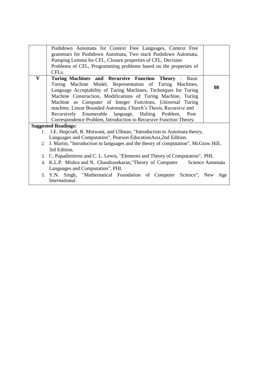|              | Pushdown Automata for Context Free Languages, Context Free                            |    |
|--------------|---------------------------------------------------------------------------------------|----|
|              | grammars for Pushdown Automata, Two stack Pushdown Automata,                          |    |
|              | Pumping Lemma for CFL, Closure properties of CFL, Decision                            |    |
|              | Problems of CFL, Programming problems based on the properties of                      |    |
|              | CFL <sub>s</sub> .                                                                    |    |
| $\mathbf{V}$ | Turing Machines and Recursive Function Theory : Basic                                 |    |
|              | Turing Machine Model, Representation of Turing Machines,                              |    |
|              | Language Acceptability of Turing Machines, Techniques for Turing                      | 08 |
|              | Machine Construction, Modifications of Turing Machine, Turing                         |    |
|              | Machine as Computer of Integer Functions, Universal Turing                            |    |
|              | machine, Linear Bounded Automata, Church's Thesis, Recursive and                      |    |
|              | Recursively Enumerable language, Halting Problem, Post                                |    |
|              | Correspondence Problem, Introduction to Recursive Function Theory.                    |    |
|              | <b>Suggested Readings:</b>                                                            |    |
| 1.           | J.E. Hopcraft, R. Motwani, and Ullman, "Introduction to Automata theory,              |    |
|              | Languages and Computation", Pearson Education Asia, 2nd Edition.                      |    |
|              | 2. J. Martin, "Introduction to languages and the theory of computation", McGraw Hill, |    |
|              | 3rd Edition.                                                                          |    |
|              | 3. C. Papadimitrou and C. L. Lewis, "Elements and Theory of Computation", PHI.        |    |
|              | 4. K.L.P. Mishra and N. Chandrasekaran, "Theory of Computer Science Automata          |    |
|              | Languages and Computation", PHI.                                                      |    |
|              | 5. Y.N. Singh, "Mathematical Foundation of Computer Science", New Age                 |    |
|              | International.                                                                        |    |
|              |                                                                                       |    |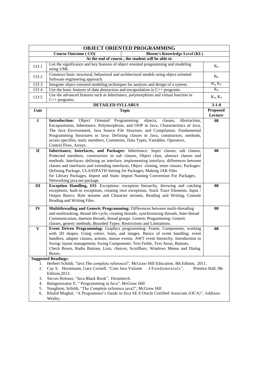| <b>OBJECT ORIENTED PROGRAMMING</b> |                                                                                                                                                                                                                                                                                                                                                                                                                                                                                                                                                       |                            |  |
|------------------------------------|-------------------------------------------------------------------------------------------------------------------------------------------------------------------------------------------------------------------------------------------------------------------------------------------------------------------------------------------------------------------------------------------------------------------------------------------------------------------------------------------------------------------------------------------------------|----------------------------|--|
|                                    | <b>Course Outcome (CO)</b><br><b>Bloom's Knowledge Level (KL)</b>                                                                                                                                                                                                                                                                                                                                                                                                                                                                                     |                            |  |
|                                    | At the end of course, the student will be able to                                                                                                                                                                                                                                                                                                                                                                                                                                                                                                     |                            |  |
| CO <sub>1</sub>                    | List the significance and key features of object oriented programming and modeling<br>using UML                                                                                                                                                                                                                                                                                                                                                                                                                                                       | $K_4$                      |  |
| CO <sub>2</sub>                    | Construct basic structural, behavioral and architectural models using object oriented<br>Software engineering approach.                                                                                                                                                                                                                                                                                                                                                                                                                               | $K_6$                      |  |
| CO <sub>3</sub>                    | Integrate object oriented modeling techniques for analysis and design of a system.                                                                                                                                                                                                                                                                                                                                                                                                                                                                    | $K_4, K_5$                 |  |
| $\overline{CO4}$                   | Use the basic features of data abstraction and encapsulation in $C++$ programs.                                                                                                                                                                                                                                                                                                                                                                                                                                                                       | $K_4$                      |  |
| CO <sub>5</sub>                    | Use the advanced features such as Inheritance, polymorphism and virtual function in<br>$C++$ programs.                                                                                                                                                                                                                                                                                                                                                                                                                                                | $K_3, K_4$                 |  |
|                                    | <b>DETAILED SYLLABUS</b>                                                                                                                                                                                                                                                                                                                                                                                                                                                                                                                              | $3-1-0$                    |  |
| Unit                               | <b>Topic</b>                                                                                                                                                                                                                                                                                                                                                                                                                                                                                                                                          | <b>Proposed</b><br>Lecture |  |
| $\mathbf I$                        | Object Oriented Programming: objects,<br><b>Introduction:</b><br>classes,<br>Abstraction,<br>Encapsulation, Inheritance, Polymorphism, and OOP in Java, Characteristics of Java,<br>The Java Environment, Java Source File Structure, and Compilation. Fundamental<br>Programming Structures in Java: Defining classes in Java, constructors, methods,<br>access specifies, static members, Comments, Data Types, Variables, Operators,<br>Control Flow, Arrays.                                                                                      | 08                         |  |
| $\mathbf{I}$                       | Inheritance, Interfaces, and Packages: Inheritance: Super classes, sub classes,<br>Protected members, constructors in sub classes, Object class, abstract classes and<br>methods. Interfaces: defining an interface, implementing interface, differences between<br>classes and interfaces and extending interfaces, Object cloning, inner classes. Packages:<br>Defining Package, CLASSPATH Setting for Packages, Making JAR Files<br>for Library Packages, Import and Static Import Naming Convention For Packages,<br>Networking java.net package. | 08                         |  |
| III                                | Exception Handling, I/O: Exceptions: exception hierarchy, throwing and catching<br>exceptions, built-in exceptions, creating own exceptions, Stack Trace Elements. Input /<br>Output Basics: Byte streams and Character streams, Reading and Writing, Console<br>Reading and Writing Files.                                                                                                                                                                                                                                                           | 08                         |  |
| IV                                 | Multithreading and Generic Programming: Differences between multi-threading<br>and multitasking, thread life cycle, creating threads, synchronizing threads, Inter-thread<br>Communication, daemon threads, thread groups. Generic Programming: Generic<br>classes, generic methods, Bounded Types: Restrictions and Limitations.                                                                                                                                                                                                                     | 08                         |  |
| $\mathbf{V}$                       | Event Driven Programming: Graphics programming: Frame, Components, working<br>with 2D shapes, Using colors, fonts, and images. Basics of event handling: event<br>handlers, adapter classes, actions, mouse events, AWT event hierarchy. Introduction to<br>Swing: layout management, Swing Components: Text Fields, Text Areas, Buttons,<br>Check Boxes, Radio Buttons, Lists, choices, Scrollbars, Windows Menus and Dialog<br>Boxes.                                                                                                               | 08                         |  |
|                                    | <b>Suggested Readings:</b>                                                                                                                                                                                                                                                                                                                                                                                                                                                                                                                            |                            |  |
| 1.<br>2.                           | Herbert Schildt, "Java The complete referencel", McGraw Hill Education, 8th Edition, 2011.<br>Cay S. Horstmann, Gary Cornell, "Core Java Volume - I Fundamentals",<br>Prentice Hall, 9th<br>Edition, 2013.                                                                                                                                                                                                                                                                                                                                            |                            |  |
| 3.<br>4.<br>5.<br>6.               | Steven Holzner, "Java Black Book", Dreamtech.<br>Balagurusamy E, "Programming in Java", McGraw Hill<br>Naughton, Schildt, "The Complete reference java2", McGraw Hill<br>Khalid Mughal, "A Programmer's Guide to Java SE 8 Oracle Certified Associate (OCA)", Addison-<br>Wesley.                                                                                                                                                                                                                                                                     |                            |  |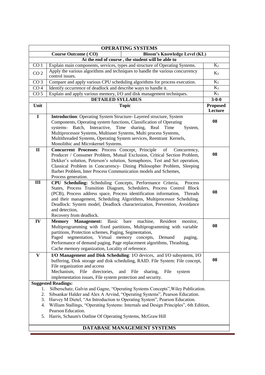| <b>OPERATING SYSTEMS</b>                                          |                                                                                                                                                                                                                                                                                                                                                                                                                             |                            |  |  |
|-------------------------------------------------------------------|-----------------------------------------------------------------------------------------------------------------------------------------------------------------------------------------------------------------------------------------------------------------------------------------------------------------------------------------------------------------------------------------------------------------------------|----------------------------|--|--|
| <b>Bloom's Knowledge Level (KL)</b><br><b>Course Outcome (CO)</b> |                                                                                                                                                                                                                                                                                                                                                                                                                             |                            |  |  |
| At the end of course, the student will be able to                 |                                                                                                                                                                                                                                                                                                                                                                                                                             |                            |  |  |
| CO <sub>1</sub>                                                   | Explain main components, services, types and structure of Operating Systems.                                                                                                                                                                                                                                                                                                                                                | $K_2$                      |  |  |
| CO <sub>2</sub>                                                   | Apply the various algorithms and techniques to handle the various concurrency<br>control issues.                                                                                                                                                                                                                                                                                                                            | $K_3$                      |  |  |
| CO <sub>3</sub>                                                   | Compare and apply various CPU scheduling algorithms for process execution.                                                                                                                                                                                                                                                                                                                                                  |                            |  |  |
| CO <sub>4</sub>                                                   | Identify occurrence of deadlock and describe ways to handle it.                                                                                                                                                                                                                                                                                                                                                             |                            |  |  |
| $\overline{CO}$ 5                                                 | Explain and apply various memory, I/O and disk management techniques.                                                                                                                                                                                                                                                                                                                                                       |                            |  |  |
|                                                                   | <b>DETAILED SYLLABUS</b>                                                                                                                                                                                                                                                                                                                                                                                                    | $3 - 0 - 0$                |  |  |
| Unit                                                              | <b>Topic</b>                                                                                                                                                                                                                                                                                                                                                                                                                | <b>Proposed</b><br>Lecture |  |  |
| $\overline{I}$                                                    | <b>Introduction:</b> Operating System Structure- Layered structure, System<br>Components, Operating system functions, Classification of Operating<br>systems- Batch, Interactive, Time<br>sharing, Real Time<br>System,<br>Multiprocessor Systems, Multiuser Systems, Multi process Systems,<br>Multithreaded Systems, Operating System services, Reentrant Kernels,                                                        | 08                         |  |  |
|                                                                   | Monolithic and Microkernel Systems.                                                                                                                                                                                                                                                                                                                                                                                         |                            |  |  |
| $\mathbf{I}$                                                      | Concurrent Processes: Process Concept, Principle<br>of<br>Concurrency,<br>Producer / Consumer Problem, Mutual Exclusion, Critical Section Problem,<br>Dekker's solution, Peterson's solution, Semaphores, Test and Set operation,<br>Classical Problem in Concurrency- Dining Philosopher Problem, Sleeping<br>Barber Problem, Inter Process Communication models and Schemes,<br>Process generation.                       | 08                         |  |  |
| $\overline{\mathbf{H}}$                                           | CPU Scheduling: Scheduling Concepts, Performance Criteria,<br>Process<br>States, Process Transition Diagram, Schedulers, Process Control Block<br>(PCB), Process address space, Process identification information, Threads<br>and their management, Scheduling Algorithms, Multiprocessor Scheduling.<br>Deadlock: System model, Deadlock characterization, Prevention, Avoidance                                          | 08                         |  |  |
|                                                                   | and detection,                                                                                                                                                                                                                                                                                                                                                                                                              |                            |  |  |
|                                                                   | Recovery from deadlock.                                                                                                                                                                                                                                                                                                                                                                                                     |                            |  |  |
| IV                                                                | <b>Memory</b><br>Basic<br>machine,<br>Resident<br><b>Management:</b><br>bare<br>monitor,<br>Multiprogramming with fixed partitions, Multiprogramming with variable<br>partitions, Protection schemes, Paging, Segmentation,<br>Paged segmentation, Virtual memory concepts, Demand<br>paging,<br>Performance of demand paging, Page replacement algorithms, Thrashing,<br>Cache memory organization, Locality of reference. | 08                         |  |  |
| $\overline{\mathbf{V}}$                                           | I/O Management and Disk Scheduling: I/O devices, and I/O subsystems, I/O<br>buffering, Disk storage and disk scheduling, RAID. File System: File concept,<br>File organization and access<br>Mechanism,<br>File<br>directories,<br>File<br>and<br>sharing,<br>File<br>system<br>implementation issues, File system protection and security.                                                                                 | 08                         |  |  |
|                                                                   | <b>Suggested Readings:</b>                                                                                                                                                                                                                                                                                                                                                                                                  |                            |  |  |
| 1.<br>2.<br>3.<br>4.<br>5.                                        | Silberschatz, Galvin and Gagne, "Operating Systems Concepts", Wiley Publication.<br>Sibsankar Halder and Alex A Arvind, "Operating Systems", Pearson Education.<br>Harvey M Dietel, "An Introduction to Operating System", Pearson Education.<br>William Stallings, "Operating Systems: Internals and Design Principles", 6th Edition,<br>Pearson Education.<br>Harris, Schaum's Outline Of Operating Systems, McGraw Hill  |                            |  |  |
| DATABASE MANAGEMENT SYSTEMS                                       |                                                                                                                                                                                                                                                                                                                                                                                                                             |                            |  |  |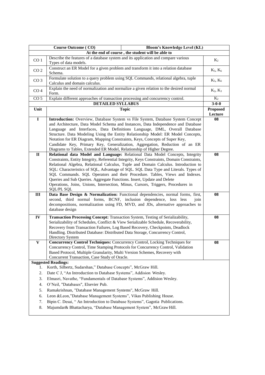| <b>Course Outcome (CO)</b><br><b>Bloom's Knowledge Level (KL)</b> |                                                                                                                                                                                                                                                                                                                                                                                                                                                                                                                                                                                                                        |                            |  |  |
|-------------------------------------------------------------------|------------------------------------------------------------------------------------------------------------------------------------------------------------------------------------------------------------------------------------------------------------------------------------------------------------------------------------------------------------------------------------------------------------------------------------------------------------------------------------------------------------------------------------------------------------------------------------------------------------------------|----------------------------|--|--|
|                                                                   | At the end of course, the student will be able to                                                                                                                                                                                                                                                                                                                                                                                                                                                                                                                                                                      |                            |  |  |
| CO <sub>1</sub>                                                   | Describe the features of a database system and its application and compare various<br>Types of data models.                                                                                                                                                                                                                                                                                                                                                                                                                                                                                                            | $K_2$                      |  |  |
| CO <sub>2</sub>                                                   | Construct an ER Model for a given problem and transform it into a relation database<br>Schema.                                                                                                                                                                                                                                                                                                                                                                                                                                                                                                                         | $K_5, K_6$                 |  |  |
| CO <sub>3</sub>                                                   | Formulate solution to a query problem using SQL Commands, relational algebra, tuple<br>Calculus and domain calculus.                                                                                                                                                                                                                                                                                                                                                                                                                                                                                                   | $K_5, K_6$                 |  |  |
| CO <sub>4</sub>                                                   | Explain the need of normalization and normalize a given relation to the desired normal<br>Form.                                                                                                                                                                                                                                                                                                                                                                                                                                                                                                                        | $K_2, K_3$                 |  |  |
| CO <sub>5</sub>                                                   | Explain different approaches of transaction processing and concurrency control.                                                                                                                                                                                                                                                                                                                                                                                                                                                                                                                                        | $K_2$                      |  |  |
|                                                                   | <b>DETAILED SYLLABUS</b>                                                                                                                                                                                                                                                                                                                                                                                                                                                                                                                                                                                               | $3 - 0 - 0$                |  |  |
| Unit                                                              | <b>Topic</b>                                                                                                                                                                                                                                                                                                                                                                                                                                                                                                                                                                                                           | <b>Proposed</b><br>Lecture |  |  |
| $\overline{I}$                                                    | Introduction: Overview, Database System vs File System, Database System Concept<br>and Architecture, Data Model Schema and Instances, Data Independence and Database<br>Language and Interfaces, Data Definitions Language, DML, Overall Database<br>Structure. Data Modeling Using the Entity Relationship Model: ER Model Concepts,<br>Notation for ER Diagram, Mapping Constraints, Keys, Concepts of Super Key,<br>Candidate Key, Primary Key, Generalization, Aggregation, Reduction of an ER<br>Diagrams to Tables, Extended ER Model, Relationship of Higher Degree.                                            | 08                         |  |  |
| $\mathbf{I}$                                                      | Relational data Model and Language: Relational Data Model Concepts, Integrity<br>Constraints, Entity Integrity, Referential Integrity, Keys Constraints, Domain Constraints,<br>Relational Algebra, Relational Calculus, Tuple and Domain Calculus. Introduction to<br>SQL: Characteristics of SQL, Advantage of SQL. SQL Data Type and Literals. Types of<br>SQL Commands. SQL Operators and their Procedure. Tables, Views and Indexes.<br>Queries and Sub Queries. Aggregate Functions. Insert, Update and Delete<br>Operations, Joins, Unions, Intersection, Minus, Cursors, Triggers, Procedures in<br>SQL/PL SQL | 08                         |  |  |
| III                                                               | Data Base Design & Normalization: Functional dependencies, normal forms, first,<br>second, third normal forms, BCNF, inclusion dependence, loss less<br>join<br>decompositions, normalization using FD, MVD, and JDs, alternative approaches to<br>database design                                                                                                                                                                                                                                                                                                                                                     | 08                         |  |  |
| IV                                                                | Transaction Processing Concept: Transaction System, Testing of Serializability,<br>Serializability of Schedules, Conflict & View Serializable Schedule, Recoverability,<br>Recovery from Transaction Failures, Log Based Recovery, Checkpoints, Deadlock<br>Handling. Distributed Database: Distributed Data Storage, Concurrency Control,<br>Directory System                                                                                                                                                                                                                                                         | 08                         |  |  |
| $\mathbf{V}$                                                      | Concurrency Control Techniques: Concurrency Control, Locking Techniques for<br>Concurrency Control, Time Stamping Protocols for Concurrency Control, Validation<br>Based Protocol, Multiple Granularity, Multi Version Schemes, Recovery with<br>Concurrent Transaction, Case Study of Oracle.                                                                                                                                                                                                                                                                                                                         | 08                         |  |  |
|                                                                   | <b>Suggested Readings:</b>                                                                                                                                                                                                                                                                                                                                                                                                                                                                                                                                                                                             |                            |  |  |
| ı.                                                                | Korth, Silbertz, Sudarshan," Database Concepts", McGraw Hill.                                                                                                                                                                                                                                                                                                                                                                                                                                                                                                                                                          |                            |  |  |
| 2.                                                                | Date C J, "An Introduction to Database Systems", Addision Wesley.                                                                                                                                                                                                                                                                                                                                                                                                                                                                                                                                                      |                            |  |  |
| 3.                                                                | Elmasri, Navathe, "Fundamentals of Database Systems", Addision Wesley.                                                                                                                                                                                                                                                                                                                                                                                                                                                                                                                                                 |                            |  |  |
| 4.                                                                | O'Neil, "Databases", Elsevier Pub.                                                                                                                                                                                                                                                                                                                                                                                                                                                                                                                                                                                     |                            |  |  |
| 5.                                                                | Ramakrishnan, "Database Management Systems", McGraw Hill.                                                                                                                                                                                                                                                                                                                                                                                                                                                                                                                                                              |                            |  |  |
| 6.                                                                | Leon &Leon,"Database Management Systems", Vikas Publishing House.                                                                                                                                                                                                                                                                                                                                                                                                                                                                                                                                                      |                            |  |  |
| 7.                                                                | Bipin C. Desai, "An Introduction to Database Systems", Gagotia Publications.                                                                                                                                                                                                                                                                                                                                                                                                                                                                                                                                           |                            |  |  |
| 8.                                                                | Majumdar& Bhattacharya, "Database Management System", McGraw Hill.                                                                                                                                                                                                                                                                                                                                                                                                                                                                                                                                                     |                            |  |  |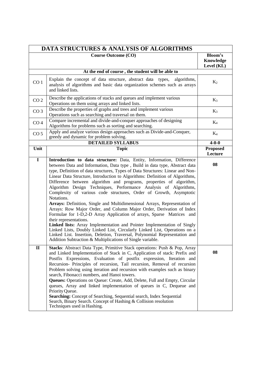|                         | <b>DATA STRUCTURES &amp; ANALYSIS OF ALGORITHMS</b>                                                                                                                                                                                                                                                                                                                                                                                                                                                                                                                                                                                                                                                                                                                                                                                                                                                                                                                                                                                                                                                              |                                    |
|-------------------------|------------------------------------------------------------------------------------------------------------------------------------------------------------------------------------------------------------------------------------------------------------------------------------------------------------------------------------------------------------------------------------------------------------------------------------------------------------------------------------------------------------------------------------------------------------------------------------------------------------------------------------------------------------------------------------------------------------------------------------------------------------------------------------------------------------------------------------------------------------------------------------------------------------------------------------------------------------------------------------------------------------------------------------------------------------------------------------------------------------------|------------------------------------|
|                         | <b>Course Outcome (CO)</b>                                                                                                                                                                                                                                                                                                                                                                                                                                                                                                                                                                                                                                                                                                                                                                                                                                                                                                                                                                                                                                                                                       | Bloom's<br>Knowledge<br>Level (KL) |
|                         | At the end of course, the student will be able to                                                                                                                                                                                                                                                                                                                                                                                                                                                                                                                                                                                                                                                                                                                                                                                                                                                                                                                                                                                                                                                                |                                    |
| CO <sub>1</sub>         | Explain the concept of data structure, abstract data types,<br>algorithms,<br>analysis of algorithms and basic data organization schemes such as arrays<br>and linked lists.                                                                                                                                                                                                                                                                                                                                                                                                                                                                                                                                                                                                                                                                                                                                                                                                                                                                                                                                     | $K_2$                              |
| CO <sub>2</sub>         | Describe the applications of stacks and queues and implement various<br>Operations on them using arrays and linked lists.                                                                                                                                                                                                                                                                                                                                                                                                                                                                                                                                                                                                                                                                                                                                                                                                                                                                                                                                                                                        | $K_3$                              |
| CO <sub>3</sub>         | Describe the properties of graphs and trees and implement various<br>Operations such as searching and traversal on them.                                                                                                                                                                                                                                                                                                                                                                                                                                                                                                                                                                                                                                                                                                                                                                                                                                                                                                                                                                                         | $K_3$                              |
| CO <sub>4</sub>         | Compare incremental and divide-and-conquer approaches of designing<br>Algorithms for problems such as sorting and searching.                                                                                                                                                                                                                                                                                                                                                                                                                                                                                                                                                                                                                                                                                                                                                                                                                                                                                                                                                                                     | $K_4$                              |
| CO <sub>5</sub>         | Apply and analyze various design approaches such as Divide-and-Conquer,<br>greedy and dynamic for problem solving.                                                                                                                                                                                                                                                                                                                                                                                                                                                                                                                                                                                                                                                                                                                                                                                                                                                                                                                                                                                               | $K_4$                              |
|                         | <b>DETAILED SYLLABUS</b>                                                                                                                                                                                                                                                                                                                                                                                                                                                                                                                                                                                                                                                                                                                                                                                                                                                                                                                                                                                                                                                                                         | $4 - 0 - 0$                        |
| Unit                    | <b>Topic</b>                                                                                                                                                                                                                                                                                                                                                                                                                                                                                                                                                                                                                                                                                                                                                                                                                                                                                                                                                                                                                                                                                                     | <b>Proposed</b><br>Lecture         |
| $\overline{\mathbf{I}}$ | Introduction to data structure: Data, Entity, Information, Difference<br>between Data and Information, Data type, Build in data type, Abstract data<br>type, Definition of data structures, Types of Data Structures: Linear and Non-<br>Linear Data Structure, Introduction to Algorithms: Definition of Algorithms,<br>Difference between algorithm and programs, properties of algorithm,<br>Algorithm Design Techniques, Performance Analysis of Algorithms,<br>Complexity of various code structures, Order of Growth, Asymptotic<br>Notations.<br>Arrays: Definition, Single and Multidimensional Arrays, Representation of<br>Arrays: Row Major Order, and Column Major Order, Derivation of Index<br>Formulae for 1-D,2-D Array Application of arrays, Sparse Matrices and<br>their representations.<br>Linked lists: Array Implementation and Pointer Implementation of Singly<br>Linked Lists, Doubly Linked List, Circularly Linked List, Operations on a<br>Linked List. Insertion, Deletion, Traversal, Polynomial Representation and<br>Addition Subtraction & Multiplications of Single variable. | 08                                 |
| $\mathbf{I}$            | Stacks: Abstract Data Type, Primitive Stack operations: Push & Pop, Array<br>and Linked Implementation of Stack in C, Application of stack: Prefix and<br>Postfix Expressions, Evaluation of postfix expression, Iteration and<br>Recursion- Principles of recursion, Tail recursion, Removal of recursion<br>Problem solving using iteration and recursion with examples such as binary<br>search, Fibonacci numbers, and Hanoi towers.<br>Queues: Operations on Queue: Create, Add, Delete, Full and Empty, Circular<br>queues, Array and linked implementation of queues in C, Dequeue and<br>Priority Queue.<br>Searching: Concept of Searching, Sequential search, Index Sequential<br>Search, Binary Search. Concept of Hashing & Collision resolution<br>Techniques used in Hashing.                                                                                                                                                                                                                                                                                                                      | 08                                 |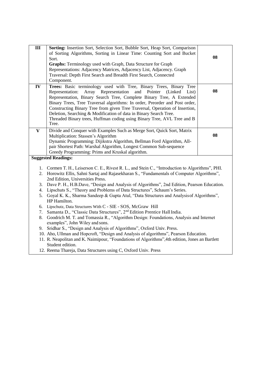| III                     | Sorting: Insertion Sort, Selection Sort, Bubble Sort, Heap Sort, Comparison<br>of Sorting Algorithms, Sorting in Linear Time: Counting Sort and Bucket<br>Sort.<br>Graphs: Terminology used with Graph, Data Structure for Graph<br>Representations: Adjacency Matrices, Adjacency List, Adjacency. Graph<br>Traversal: Depth First Search and Breadth First Search, Connected<br>Component.                                                                                                                                                        | 08 |
|-------------------------|-----------------------------------------------------------------------------------------------------------------------------------------------------------------------------------------------------------------------------------------------------------------------------------------------------------------------------------------------------------------------------------------------------------------------------------------------------------------------------------------------------------------------------------------------------|----|
| IV                      | Trees: Basic terminology used with Tree, Binary Trees, Binary Tree<br>Array Representation<br>and<br>Pointer<br>Representation:<br>(Linked)<br>List)<br>Representation, Binary Search Tree, Complete Binary Tree, A Extended<br>Binary Trees, Tree Traversal algorithms: In order, Preorder and Post order,<br>Constructing Binary Tree from given Tree Traversal, Operation of Insertion,<br>Deletion, Searching & Modification of data in Binary Search Tree.<br>Threaded Binary trees, Huffman coding using Binary Tree, AVL Tree and B<br>Tree. | 08 |
| $\overline{\mathbf{V}}$ | Divide and Conquer with Examples Such as Merge Sort, Quick Sort, Matrix<br>Multiplication: Stassen's Algorithm<br>Dynamic Programming: Dijikstra Algorithm, Bellman Ford Algorithm, All-<br>pair Shortest Path: Warshal Algorithm, Longest Common Sub-sequence<br>Greedy Programming: Prims and Kruskal algorithm.                                                                                                                                                                                                                                  | 08 |
|                         | <b>Suggested Readings:</b>                                                                                                                                                                                                                                                                                                                                                                                                                                                                                                                          |    |
|                         | 1. Cormen T. H., Leiserson C. E., Rivest R. L., and Stein C., "Introduction to Algorithms", PHI.<br>2. Horowitz Ellis, Sahni Sartaj and Rajasekharan S., "Fundamentals of Computer Algorithms",<br>2nd Edition, Universities Press.                                                                                                                                                                                                                                                                                                                 |    |
|                         | Dave P. H., H.B.Dave, "Design and Analysis of Algorithms", 2nd Edition, Pearson Education.<br>3.                                                                                                                                                                                                                                                                                                                                                                                                                                                    |    |
|                         | 4. Lipschuts S., "Theory and Problems of Data Structures", Schaum's Series.                                                                                                                                                                                                                                                                                                                                                                                                                                                                         |    |
|                         | Goyal K. K., Sharma Sandeep & Gupta Atul, "Data Structures and Analysis of Algorithms",<br>5.<br>HP Hamilton.                                                                                                                                                                                                                                                                                                                                                                                                                                       |    |
|                         | 6. Lipschutz, Data Structures With C - SIE - SOS, McGraw Hill                                                                                                                                                                                                                                                                                                                                                                                                                                                                                       |    |
|                         | Samanta D., "Classic Data Structures", 2 <sup>nd</sup> Edition Prentice Hall India.<br>7.                                                                                                                                                                                                                                                                                                                                                                                                                                                           |    |
|                         | Goodrich M. T. and Tomassia R., "Algorithm Design: Foundations, Analysis and Internet<br>8.<br>examples", John Wiley and sons.                                                                                                                                                                                                                                                                                                                                                                                                                      |    |
|                         | 9. Sridhar S., "Design and Analysis of Algorithms", Oxford Univ. Press.                                                                                                                                                                                                                                                                                                                                                                                                                                                                             |    |
|                         | 10. Aho, Ullman and Hopcroft, "Design and Analysis of algorithms", Pearson Education.                                                                                                                                                                                                                                                                                                                                                                                                                                                               |    |
|                         | 11. R. Neapolitan and K. Naimipour, "Foundations of Algorithms", 4th edition, Jones an Bartlett                                                                                                                                                                                                                                                                                                                                                                                                                                                     |    |
|                         | Student edition.<br>12. Reema Thareja, Data Structures using C, Oxford Univ. Press                                                                                                                                                                                                                                                                                                                                                                                                                                                                  |    |
|                         |                                                                                                                                                                                                                                                                                                                                                                                                                                                                                                                                                     |    |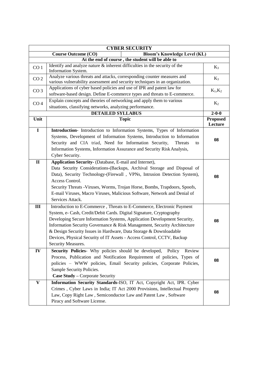| <b>CYBER SECURITY</b>                                             |                                                                                                                                                         |                 |  |  |
|-------------------------------------------------------------------|---------------------------------------------------------------------------------------------------------------------------------------------------------|-----------------|--|--|
| <b>Bloom's Knowledge Level (KL)</b><br><b>Course Outcome (CO)</b> |                                                                                                                                                         |                 |  |  |
|                                                                   | At the end of course, the student will be able to                                                                                                       |                 |  |  |
| CO <sub>1</sub>                                                   | Identify and analyze nature $\&$ inherent difficulties in the security of the<br>Information System.                                                    | $K_3$           |  |  |
| CO <sub>2</sub>                                                   | Analyze various threats and attacks, corresponding counter measures and<br>various vulnerability assessment and security techniques in an organization. | $K_3$           |  |  |
| CO <sub>3</sub>                                                   | Applications of cyber based policies and use of IPR and patent law for<br>software-based design. Define E-commerce types and threats to E-commerce.     | $K_1, K_2$      |  |  |
| CO <sub>4</sub>                                                   | Explain concepts and theories of networking and apply them to various<br>situations, classifying networks, analyzing performance.                       | $K_2$           |  |  |
|                                                                   | <b>DETAILED SYLLABUS</b>                                                                                                                                | $2 - 0 - 0$     |  |  |
| Unit                                                              | <b>Topic</b>                                                                                                                                            | <b>Proposed</b> |  |  |
|                                                                   |                                                                                                                                                         | Lecture         |  |  |
| $\mathbf I$                                                       | Introduction- Introduction to Information Systems, Types of Information                                                                                 |                 |  |  |
|                                                                   | Systems, Development of Information Systems, Introduction to Information                                                                                |                 |  |  |
|                                                                   | Security and CIA triad, Need for Information Security,<br>Threats<br>to                                                                                 | 08              |  |  |
|                                                                   | Information Systems, Information Assurance and Security Risk Analysis,                                                                                  |                 |  |  |
|                                                                   | Cyber Security.                                                                                                                                         |                 |  |  |
| $\mathbf{I}$                                                      | Application Security- (Database, E-mail and Internet),                                                                                                  |                 |  |  |
|                                                                   | Data Security Considerations-(Backups, Archival Storage and Disposal of                                                                                 |                 |  |  |
|                                                                   | Data), Security Technology-(Firewall, VPNs, Intrusion Detection System),                                                                                |                 |  |  |
|                                                                   | Access Control.                                                                                                                                         | 08              |  |  |
|                                                                   | Security Threats - Viruses, Worms, Trojan Horse, Bombs, Trapdoors, Spoofs,                                                                              |                 |  |  |
|                                                                   | E-mail Viruses, Macro Viruses, Malicious Software, Network and Denial of                                                                                |                 |  |  |
|                                                                   | Services Attack.                                                                                                                                        |                 |  |  |
|                                                                   |                                                                                                                                                         |                 |  |  |
| III                                                               | Introduction to E-Commerce, Threats to E-Commerce, Electronic Payment                                                                                   |                 |  |  |
|                                                                   | System, e- Cash, Credit/Debit Cards. Digital Signature, Cryptography                                                                                    |                 |  |  |
|                                                                   | Developing Secure Information Systems, Application Development Security,                                                                                | 08              |  |  |
|                                                                   | Information Security Governance & Risk Management, Security Architecture                                                                                |                 |  |  |
|                                                                   | & Design Security Issues in Hardware, Data Storage & Downloadable                                                                                       |                 |  |  |
|                                                                   | Devices, Physical Security of IT Assets - Access Control, CCTV, Backup                                                                                  |                 |  |  |
|                                                                   | Security Measures.                                                                                                                                      |                 |  |  |
| IV                                                                | Security Policies- Why policies should be developed,<br>Policy<br>Review                                                                                |                 |  |  |
|                                                                   | Process, Publication and Notification Requirement of policies, Types of                                                                                 | 08              |  |  |
|                                                                   | policies - WWW policies, Email Security policies, Corporate Policies,                                                                                   |                 |  |  |
|                                                                   | Sample Security Policies.                                                                                                                               |                 |  |  |
|                                                                   | Case Study - Corporate Security                                                                                                                         |                 |  |  |
| V                                                                 | Information Security Standards-ISO, IT Act, Copyright Act, IPR. Cyber                                                                                   |                 |  |  |
|                                                                   | Crimes, Cyber Laws in India; IT Act 2000 Provisions, Intellectual Property                                                                              | 08              |  |  |
|                                                                   | Law, Copy Right Law, Semiconductor Law and Patent Law, Software                                                                                         |                 |  |  |
|                                                                   | Piracy and Software License.                                                                                                                            |                 |  |  |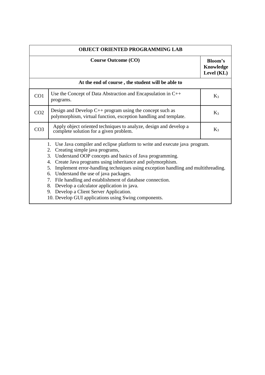| OBJECT ORIENTED PROGRAMMING LAB                                                                                                                                                                                                                                                                                                                                                                                                                                                                                                                                                                            |                                                                                                                                   |       |  |
|------------------------------------------------------------------------------------------------------------------------------------------------------------------------------------------------------------------------------------------------------------------------------------------------------------------------------------------------------------------------------------------------------------------------------------------------------------------------------------------------------------------------------------------------------------------------------------------------------------|-----------------------------------------------------------------------------------------------------------------------------------|-------|--|
| <b>Course Outcome (CO)</b>                                                                                                                                                                                                                                                                                                                                                                                                                                                                                                                                                                                 |                                                                                                                                   |       |  |
|                                                                                                                                                                                                                                                                                                                                                                                                                                                                                                                                                                                                            | At the end of course, the student will be able to                                                                                 |       |  |
| CO <sub>1</sub>                                                                                                                                                                                                                                                                                                                                                                                                                                                                                                                                                                                            | Use the Concept of Data Abstraction and Encapsulation in $C++$<br>programs.                                                       | $K_3$ |  |
| CO <sub>2</sub>                                                                                                                                                                                                                                                                                                                                                                                                                                                                                                                                                                                            | Design and Develop $C_{++}$ program using the concept such as<br>polymorphism, virtual function, exception handling and template. | $K_3$ |  |
| CO <sub>3</sub>                                                                                                                                                                                                                                                                                                                                                                                                                                                                                                                                                                                            | Apply object oriented techniques to analyze, design and develop a<br>complete solution for a given problem.                       | $K_3$ |  |
| 1. Use Java compiler and eclipse platform to write and execute java program.<br>2. Creating simple java programs,<br>3. Understand OOP concepts and basics of Java programming.<br>Create Java programs using inheritance and polymorphism.<br>4.<br>Implement error-handling techniques using exception handling and multithreading.<br>5.<br>Understand the use of java packages.<br>6.<br>7. File handling and establishment of database connection.<br>8. Develop a calculator application in java.<br>9. Develop a Client Server Application.<br>10. Develop GUI applications using Swing components. |                                                                                                                                   |       |  |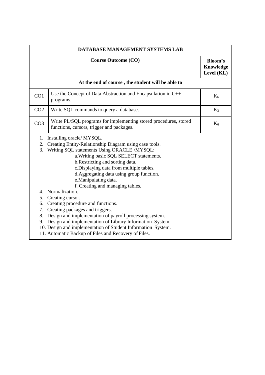| DATABASE MANAGEMENT SYSTEMS LAB        |                                                                                                                                                                                                                                                                                                                                                                                                                                                                                                                                                                                                                                                                                                                                           |                                           |  |
|----------------------------------------|-------------------------------------------------------------------------------------------------------------------------------------------------------------------------------------------------------------------------------------------------------------------------------------------------------------------------------------------------------------------------------------------------------------------------------------------------------------------------------------------------------------------------------------------------------------------------------------------------------------------------------------------------------------------------------------------------------------------------------------------|-------------------------------------------|--|
|                                        | <b>Course Outcome (CO)</b>                                                                                                                                                                                                                                                                                                                                                                                                                                                                                                                                                                                                                                                                                                                | <b>Bloom's</b><br>Knowledge<br>Level (KL) |  |
|                                        | At the end of course, the student will be able to                                                                                                                                                                                                                                                                                                                                                                                                                                                                                                                                                                                                                                                                                         |                                           |  |
| CO <sub>1</sub>                        | Use the Concept of Data Abstraction and Encapsulation in $C++$<br>programs.                                                                                                                                                                                                                                                                                                                                                                                                                                                                                                                                                                                                                                                               | $K_6$                                     |  |
| CO <sub>2</sub>                        | Write SQL commands to query a database.                                                                                                                                                                                                                                                                                                                                                                                                                                                                                                                                                                                                                                                                                                   | $K_3$                                     |  |
| CO <sub>3</sub>                        | Write PL/SQL programs for implementing stored procedures, stored<br>functions, cursors, trigger and packages.                                                                                                                                                                                                                                                                                                                                                                                                                                                                                                                                                                                                                             | $K_6$                                     |  |
| 1.<br>2.<br>3.<br>5.<br>6.<br>7.<br>9. | Installing oracle/ MYSQL.<br>Creating Entity-Relationship Diagram using case tools.<br>Writing SQL statements Using ORACLE /MYSQL:<br>a. Writing basic SQL SELECT statements.<br>b. Restricting and sorting data.<br>c. Displaying data from multiple tables.<br>d. Aggregating data using group function.<br>e.Manipulating data.<br>f. Creating and managing tables.<br>4. Normalization.<br>Creating cursor.<br>Creating procedure and functions.<br>Creating packages and triggers.<br>8. Design and implementation of payroll processing system.<br>Design and implementation of Library Information System.<br>10. Design and implementation of Student Information System.<br>11. Automatic Backup of Files and Recovery of Files. |                                           |  |